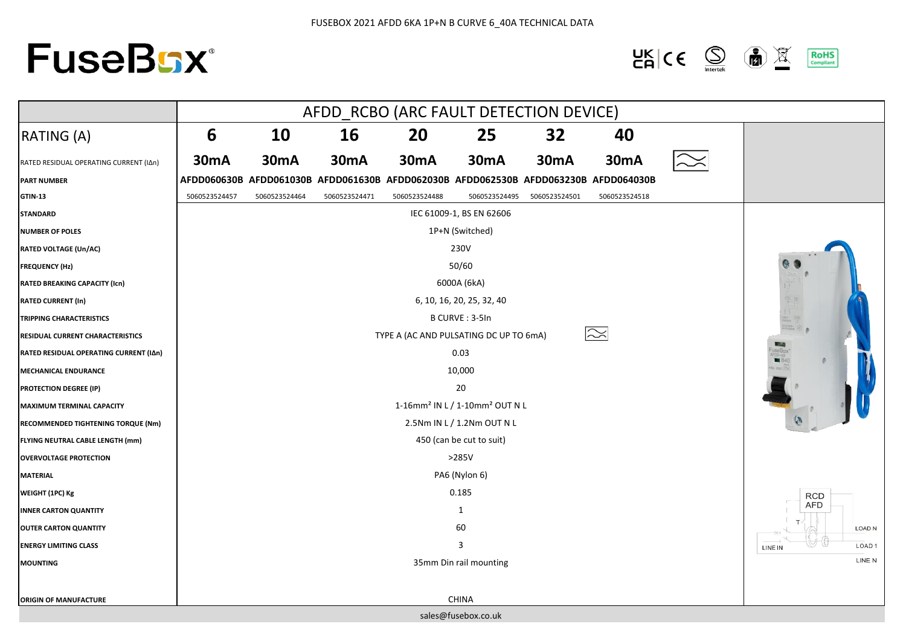# **FuseBsx®**

#### $\frac{\mathsf{UK}}{\mathsf{CA}}$   $\mathsf{CE}$   $\bigotimes$ 面显 **RoHS**<br>Compliant

|                                        | AFDD_RCBO (ARC FAULT DETECTION DEVICE)                 |                 |               |                                                                                     |                     |               |               |                              |  |
|----------------------------------------|--------------------------------------------------------|-----------------|---------------|-------------------------------------------------------------------------------------|---------------------|---------------|---------------|------------------------------|--|
| RATING (A)                             | 6                                                      | 10              | 16            | 20                                                                                  | 25                  | 32            | 40            |                              |  |
| RATED RESIDUAL OPERATING CURRENT (IAn) | <b>30mA</b>                                            | <b>30mA</b>     | <b>30mA</b>   | <b>30mA</b>                                                                         | <b>30mA</b>         | <b>30mA</b>   | <b>30mA</b>   |                              |  |
| <b>PART NUMBER</b>                     |                                                        |                 |               | AFDD060630B AFDD061030B AFDD061630B AFDD062030B AFDD062530B AFDD063230B AFDD064030B |                     |               |               |                              |  |
| <b>GTIN-13</b>                         | 5060523524457                                          | 5060523524464   | 5060523524471 | 5060523524488                                                                       | 5060523524495       | 5060523524501 | 5060523524518 |                              |  |
| <b>STANDARD</b>                        | IEC 61009-1, BS EN 62606                               |                 |               |                                                                                     |                     |               |               |                              |  |
| <b>NUMBER OF POLES</b>                 |                                                        | 1P+N (Switched) |               |                                                                                     |                     |               |               |                              |  |
| <b>RATED VOLTAGE (Un/AC)</b>           | 230V                                                   |                 |               |                                                                                     |                     |               |               |                              |  |
| <b>FREQUENCY (Hz)</b>                  | 50/60                                                  |                 |               |                                                                                     |                     |               |               |                              |  |
| <b>RATED BREAKING CAPACITY (Icn)</b>   | 6000A (6kA)                                            |                 |               |                                                                                     |                     |               |               |                              |  |
| <b>RATED CURRENT (In)</b>              | 6, 10, 16, 20, 25, 32, 40                              |                 |               |                                                                                     |                     |               |               |                              |  |
| <b>TRIPPING CHARACTERISTICS</b>        | B CURVE: 3-5In                                         |                 |               |                                                                                     |                     |               |               |                              |  |
| RESIDUAL CURRENT CHARACTERISTICS       | $\approx$<br>TYPE A (AC AND PULSATING DC UP TO 6mA)    |                 |               |                                                                                     |                     |               |               |                              |  |
| RATED RESIDUAL OPERATING CURRENT (IAn) | 0.03                                                   |                 |               |                                                                                     |                     |               |               |                              |  |
| <b>MECHANICAL ENDURANCE</b>            | 10,000                                                 |                 |               |                                                                                     |                     |               |               |                              |  |
| PROTECTION DEGREE (IP)                 | 20                                                     |                 |               |                                                                                     |                     |               |               |                              |  |
| <b>MAXIMUM TERMINAL CAPACITY</b>       | 1-16mm <sup>2</sup> IN L / 1-10mm <sup>2</sup> OUT N L |                 |               |                                                                                     |                     |               |               |                              |  |
| RECOMMENDED TIGHTENING TORQUE (Nm)     | 2.5Nm IN L / 1.2Nm OUT N L                             |                 |               |                                                                                     |                     |               |               | $\bullet$                    |  |
| FLYING NEUTRAL CABLE LENGTH (mm)       | 450 (can be cut to suit)                               |                 |               |                                                                                     |                     |               |               |                              |  |
| <b>OVERVOLTAGE PROTECTION</b>          | $>285V$                                                |                 |               |                                                                                     |                     |               |               |                              |  |
| <b>MATERIAL</b>                        | PA6 (Nylon 6)                                          |                 |               |                                                                                     |                     |               |               |                              |  |
| WEIGHT (1PC) Kg                        | 0.185                                                  |                 |               |                                                                                     |                     |               |               | <b>RCD</b>                   |  |
| <b>INNER CARTON QUANTITY</b>           | 1                                                      |                 |               |                                                                                     |                     |               | AFD           |                              |  |
| <b>OUTER CARTON QUANTITY</b>           | 60                                                     |                 |               |                                                                                     |                     |               |               | LOAD N                       |  |
| <b>ENERGY LIMITING CLASS</b>           | 3                                                      |                 |               |                                                                                     |                     |               |               | LOAD <sub>1</sub><br>LINE IN |  |
| <b>MOUNTING</b>                        | 35mm Din rail mounting                                 |                 |               |                                                                                     |                     |               |               | LINE N                       |  |
|                                        |                                                        |                 |               |                                                                                     |                     |               |               |                              |  |
| <b>ORIGIN OF MANUFACTURE</b>           |                                                        |                 |               |                                                                                     | <b>CHINA</b>        |               |               |                              |  |
|                                        |                                                        |                 |               |                                                                                     | sales@fusebox.co.uk |               |               |                              |  |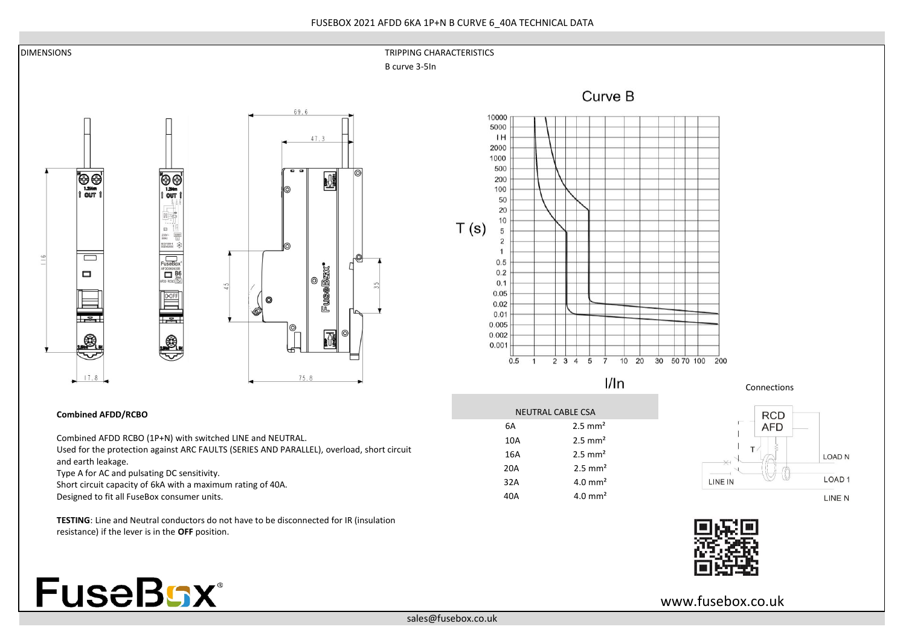

Short circuit capacity of 6kA with a maximum rating of 40A.

Designed to fit all FuseBox consumer units.

**TESTING**: Line and Neutral conductors do not have to be disconnected for IR (insulation resistance) if the lever is in the **OFF** position.

LINE N



www.fusebox.co.uk

40A 4.0 mm²